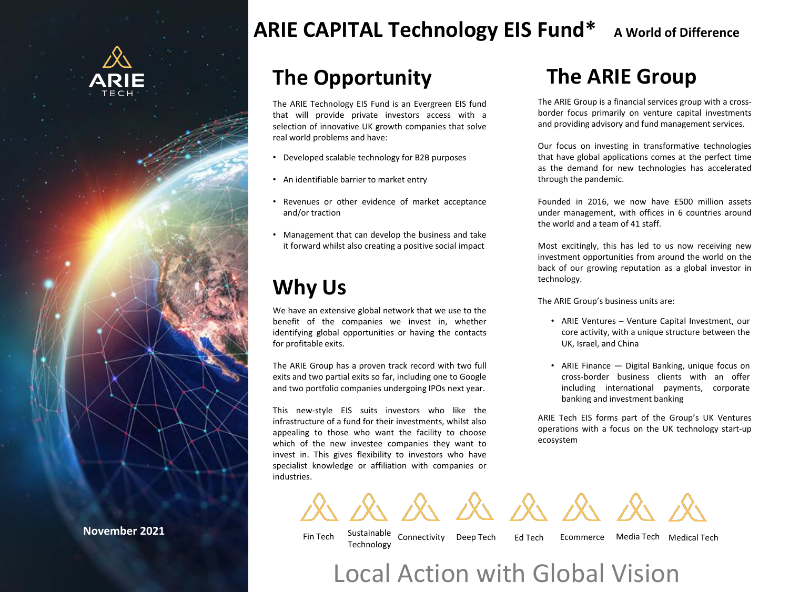

**November 2021**

# **ARIE CAPITAL Technology EIS Fund\* A World of Difference**

# **The Opportunity**

The ARIE Technology EIS Fund is an Evergreen EIS fund that will provide private investors access with a selection of innovative UK growth companies that solve real world problems and have:

- Developed scalable technology for B2B purposes
- An identifiable barrier to market entry
- Revenues or other evidence of market acceptance and/or traction
- Management that can develop the business and take it forward whilst also creating a positive social impact

# **Why Us**

We have an extensive global network that we use to the benefit of the companies we invest in, whether identifying global opportunities or having the contacts for profitable exits.

The ARIE Group has a proven track record with two full exits and two partial exits so far, including one to Google and two portfolio companies undergoing IPOs next year.

This new-style EIS suits investors who like the infrastructure of a fund for their investments, whilst also appealing to those who want the facility to choose which of the new investee companies they want to invest in. This gives flexibility to investors who have specialist knowledge or affiliation with companies or industries.

## **The ARIE Group**

The ARIE Group is a financial services group with a crossborder focus primarily on venture capital investments and providing advisory and fund management services.

Our focus on investing in transformative technologies that have global applications comes at the perfect time as the demand for new technologies has accelerated through the pandemic.

Founded in 2016, we now have £500 million assets under management, with offices in 6 countries around the world and a team of 41 staff.

Most excitingly, this has led to us now receiving new investment opportunities from around the world on the back of our growing reputation as a global investor in technology.

The ARIE Group's business units are:

- ARIE Ventures Venture Capital Investment, our core activity, with a unique structure between the UK, Israel, and China
- ARIE Finance Digital Banking, unique focus on cross-border business clients with an offer including international payments, corporate banking and investment banking

ARIE Tech EIS forms part of the Group's UK Ventures operations with a focus on the UK technology start-up ecosystem

 $\mathcal{R} \times \mathcal{R} \times \mathcal{R} \times \mathcal{R} \times \mathcal{R}$ 

Fin Tech Sustainable Connectivity Technology

Deep Tech Ed Tech Ecommerce Media Tech Medical Tech

Local Action with Global Vision